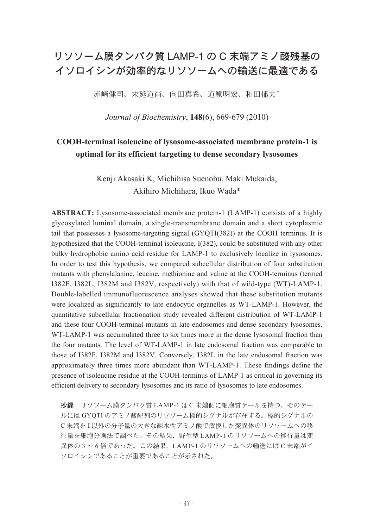## リソソーム膜タンパク質 LAMP-1 の C 末端アミノ酸残基の イソロイシンが効率的なリソソームへの輸送に最適である

赤﨑健司、末延道尚、向田真希、道原明宏、和田郁夫\*

*Journal of Biochemistry*, **148**(6), 669-679 (2010)

## **COOH-terminal isoleucine of lysosome-associated membrane protein-1 is optimal for its efficient targeting to dense secondary lysosomes**

Kenji Akasaki K, Michihisa Suenobu, Maki Mukaida, Akihiro Michihara, Ikuo Wada\*

**ABSTRACT:** Lysosome-associated membrane protein-1 (LAMP-1) consists of a highly glycosylated luminal domain, a single-transmembrane domain and a short cytoplasmic tail that possesses a lysosome-targeting signal (GYQTI(382)) at the COOH terminus. It is hypothesized that the COOH-terminal isoleucine, I(382), could be substituted with any other bulky hydrophobic amino acid residue for LAMP-1 to exclusively localize in lysosomes. In order to test this hypothesis, we compared subcellular distribution of four substitution mutants with phenylalanine, leucine, methionine and valine at the COOH-terminus (termed I382F, I382L, I382M and I382V, respectively) with that of wild-type (WT)-LAMP-1. Double-labelled immunofluorescence analyses showed that these substitution mutants were localized as significantly to late endocytic organelles as WT-LAMP-1. However, the quantitative subcellular fractionation study revealed different distribution of WT-LAMP-1 and these four COOH-terminal mutants in late endosomes and dense secondary lysosomes. WT-LAMP-1 was accumulated three to six times more in the dense lysosomal fraction than the four mutants. The level of WT-LAMP-1 in late endosomal fraction was comparable to those of I382F, I382M and I382V. Conversely, I382L in the late endosomal fraction was approximately three times more abundant than WT-LAMP-1. These findings define the presence of isoleucine residue at the COOH-terminus of LAMP-1 as critical in governing its efficient delivery to secondary lysosomes and its ratio of lysosomes to late endosomes.

抄録 リソソーム膜タンパク質 LAMP-1 は C 末端側に細胞質テールを持つ。そのテー ルには GYQTI のアミノ酸配列のリソソーム標的シグナルが存在する。標的シグナルの C 末端を I 以外の分子量の大きな疎水性アミノ酸で置換した変異体のリソソームへの移 行量を細胞分画法で調べた。その結果、野生型 LAMP-1 のリソソームへの移行量は変 異体の 3 ~ 6 倍であった。この結果、LAMP-1 のリソソームへの輸送には C 末端がイ ソロイシンであることが重要であることが示された。